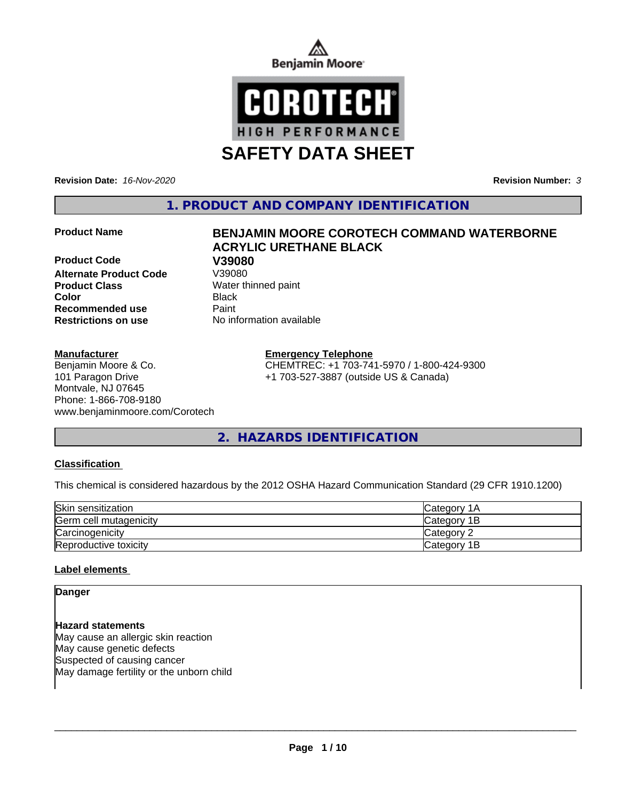



**SAFETY DATA SHEET**

**Revision Date:** *16-Nov-2020* **Revision Number:** *3*

**1. PRODUCT AND COMPANY IDENTIFICATION**

**Product Code V39080 Alternate Product Code Product Class** Water thinned paint **Color** Black **Recommended use Caint Restrictions on use** No information available

## **Manufacturer**

Benjamin Moore & Co. 101 Paragon Drive Montvale, NJ 07645 Phone: 1-866-708-9180 www.benjaminmoore.com/Corotech

# **Product Name BENJAMIN MOORE COROTECH COMMAND WATERBORNE ACRYLIC URETHANE BLACK**

## **Emergency Telephone**

CHEMTREC: +1 703-741-5970 / 1-800-424-9300 +1 703-527-3887 (outside US & Canada)

**2. HAZARDS IDENTIFICATION**

## **Classification**

This chemical is considered hazardous by the 2012 OSHA Hazard Communication Standard (29 CFR 1910.1200)

| Skin sensitization     | ICategory 1A       |
|------------------------|--------------------|
| Germ cell mutagenicity | <b>Category 1B</b> |
| Carcinogenicity        | Category 2         |
| Reproductive toxicity  | Category 1B        |

## **Label elements**

**Danger**

**Hazard statements** May cause an allergic skin reaction May cause genetic defects Suspected of causing cancer May damage fertility or the unborn child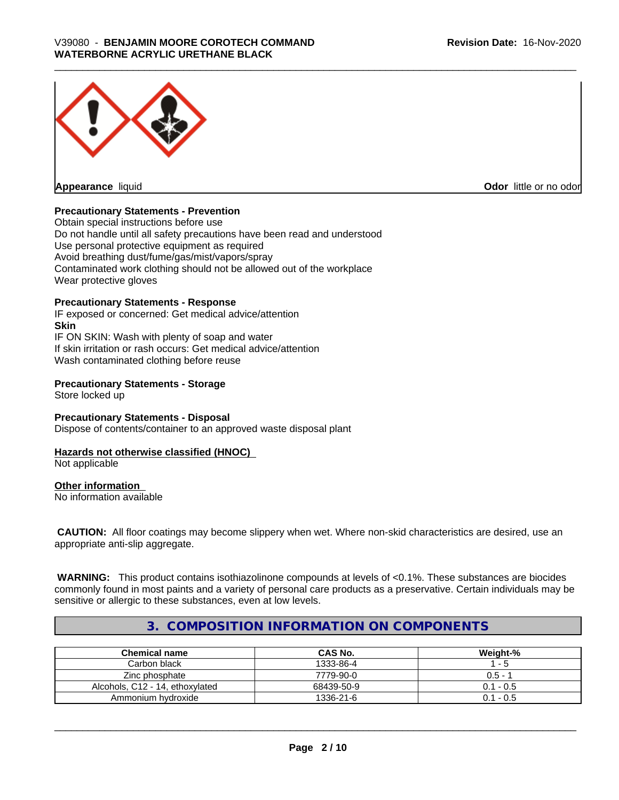

**Appearance** liquid **Contract Contract Contract Contract Contract Contract Contract Contract Contract Contract Contract Contract Contract Contract Contract Contract Contract Contract Contract Contract Contract Contract Con** 

## **Precautionary Statements - Prevention**

Obtain special instructions before use Do not handle until all safety precautions have been read and understood Use personal protective equipment as required Avoid breathing dust/fume/gas/mist/vapors/spray Contaminated work clothing should not be allowed out of the workplace Wear protective gloves

## **Precautionary Statements - Response**

IF exposed or concerned: Get medical advice/attention **Skin** IF ON SKIN: Wash with plenty of soap and water If skin irritation or rash occurs: Get medical advice/attention Wash contaminated clothing before reuse

## **Precautionary Statements - Storage**

Store locked up

#### **Precautionary Statements - Disposal** Dispose of contents/container to an approved waste disposal plant

#### **Hazards not otherwise classified (HNOC)** Not applicable

## **Other information**

No information available

 **CAUTION:** All floor coatings may become slippery when wet. Where non-skid characteristics are desired, use an appropriate anti-slip aggregate.

 **WARNING:** This product contains isothiazolinone compounds at levels of <0.1%. These substances are biocides commonly found in most paints and a variety of personal care products as a preservative. Certain individuals may be sensitive or allergic to these substances, even at low levels.

# **3. COMPOSITION INFORMATION ON COMPONENTS**

| <b>Chemical name</b>            | <b>CAS No.</b> | Weight-%    |
|---------------------------------|----------------|-------------|
| Carbon black l                  | 1333-86-4      | - 5         |
| Zinc phosphate                  | 7779-90-0      | $0.5 - 1$   |
| Alcohols, C12 - 14, ethoxylated | 68439-50-9     | $0.1 - 0.5$ |
| Ammonium hvdroxide              | 1336-21-6      | $0.1 - 0.5$ |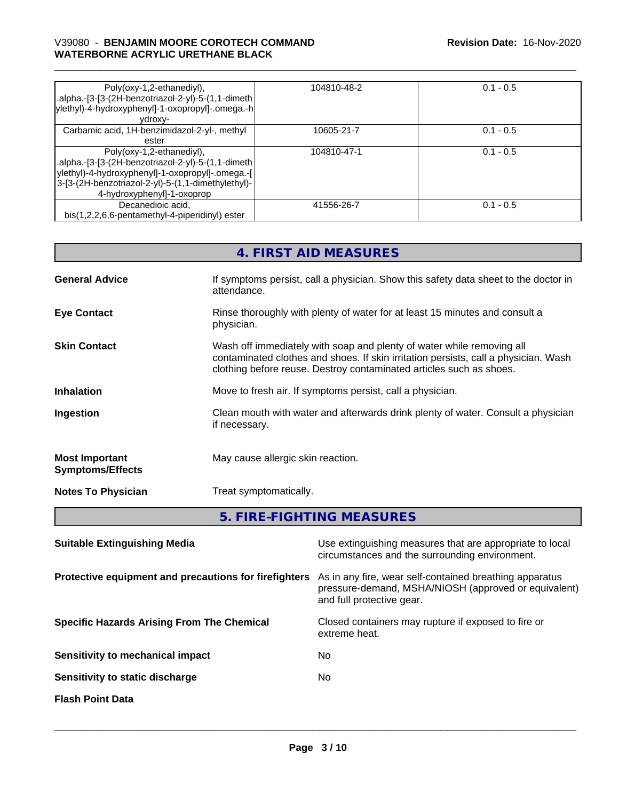# \_\_\_\_\_\_\_\_\_\_\_\_\_\_\_\_\_\_\_\_\_\_\_\_\_\_\_\_\_\_\_\_\_\_\_\_\_\_\_\_\_\_\_\_\_\_\_\_\_\_\_\_\_\_\_\_\_\_\_\_\_\_\_\_\_\_\_\_\_\_\_\_\_\_\_\_\_\_\_\_\_\_\_\_\_\_\_\_\_\_\_\_\_ V39080 - **BENJAMIN MOORE COROTECH COMMAND WATERBORNE ACRYLIC URETHANE BLACK**

| Poly(oxy-1,2-ethanediyl),<br>.alpha.-[3-[3-(2H-benzotriazol-2-yl)-5-(1,1-dimeth<br>ylethyl)-4-hydroxyphenyl]-1-oxopropyl]-.omega.-h<br>vdroxv-                                                                          | 104810-48-2 | $0.1 - 0.5$ |
|-------------------------------------------------------------------------------------------------------------------------------------------------------------------------------------------------------------------------|-------------|-------------|
| Carbamic acid, 1H-benzimidazol-2-yl-, methyl<br>ester                                                                                                                                                                   | 10605-21-7  | $0.1 - 0.5$ |
| Poly(oxy-1,2-ethanediyl),<br>.alpha.-[3-[3-(2H-benzotriazol-2-yl)-5-(1,1-dimeth<br>ylethyl)-4-hydroxyphenyl]-1-oxopropyl]-.omega.-[<br>3-[3-(2H-benzotriazol-2-yl)-5-(1,1-dimethylethyl)-<br>4-hydroxyphenyl]-1-oxoprop | 104810-47-1 | $0.1 - 0.5$ |
| Decanedioic acid.<br>bis(1,2,2,6,6-pentamethyl-4-piperidinyl) ester                                                                                                                                                     | 41556-26-7  | $0.1 - 0.5$ |

| 4. FIRST AID MEASURES                                                                                                                                                                                                               |
|-------------------------------------------------------------------------------------------------------------------------------------------------------------------------------------------------------------------------------------|
| If symptoms persist, call a physician. Show this safety data sheet to the doctor in<br>attendance.                                                                                                                                  |
| Rinse thoroughly with plenty of water for at least 15 minutes and consult a<br>physician.                                                                                                                                           |
| Wash off immediately with soap and plenty of water while removing all<br>contaminated clothes and shoes. If skin irritation persists, call a physician. Wash<br>clothing before reuse. Destroy contaminated articles such as shoes. |
| Move to fresh air. If symptoms persist, call a physician.                                                                                                                                                                           |
| Clean mouth with water and afterwards drink plenty of water. Consult a physician<br>if necessary.                                                                                                                                   |
| May cause allergic skin reaction.                                                                                                                                                                                                   |
| Treat symptomatically.                                                                                                                                                                                                              |
|                                                                                                                                                                                                                                     |

**5. FIRE-FIGHTING MEASURES**

| <b>Suitable Extinguishing Media</b>                   | Use extinguishing measures that are appropriate to local<br>circumstances and the surrounding environment.                                   |
|-------------------------------------------------------|----------------------------------------------------------------------------------------------------------------------------------------------|
| Protective equipment and precautions for firefighters | As in any fire, wear self-contained breathing apparatus<br>pressure-demand, MSHA/NIOSH (approved or equivalent)<br>and full protective gear. |
| <b>Specific Hazards Arising From The Chemical</b>     | Closed containers may rupture if exposed to fire or<br>extreme heat.                                                                         |
| Sensitivity to mechanical impact                      | No.                                                                                                                                          |
| Sensitivity to static discharge                       | No.                                                                                                                                          |
| <b>Flash Point Data</b>                               |                                                                                                                                              |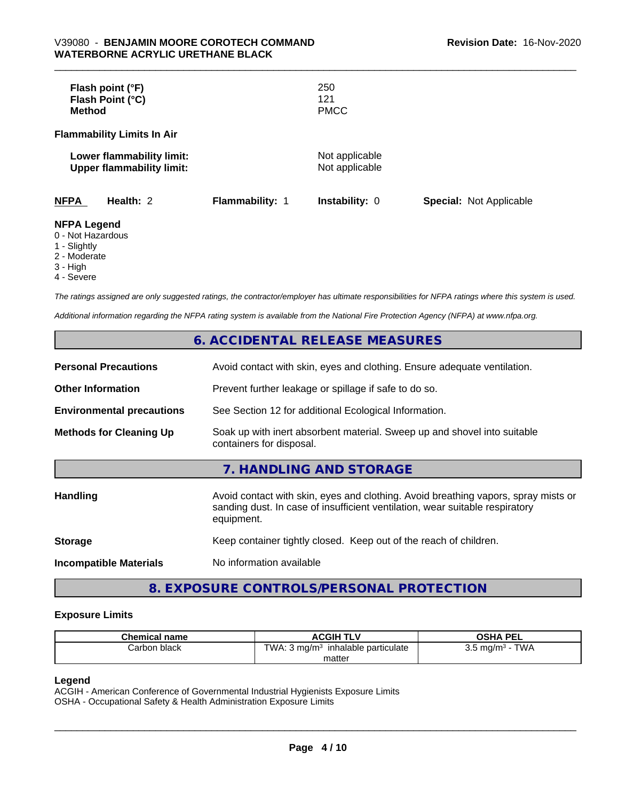| Flash point (°F)<br>Flash Point (°C)<br><b>Method</b>         |                        | 250<br>121<br><b>PMCC</b>        |                                |
|---------------------------------------------------------------|------------------------|----------------------------------|--------------------------------|
| <b>Flammability Limits In Air</b>                             |                        |                                  |                                |
| Lower flammability limit:<br><b>Upper flammability limit:</b> |                        | Not applicable<br>Not applicable |                                |
| <b>NFPA</b><br>Health: 2                                      | <b>Flammability: 1</b> | <b>Instability: 0</b>            | <b>Special: Not Applicable</b> |
| <b>NFPA Legend</b><br>0 - Not Hazardous<br>1 - Slightly       |                        |                                  |                                |

2 - Moderate

3 - High

4 - Severe

*The ratings assigned are only suggested ratings, the contractor/employer has ultimate responsibilities for NFPA ratings where this system is used.*

*Additional information regarding the NFPA rating system is available from the National Fire Protection Agency (NFPA) at www.nfpa.org.*

# **6. ACCIDENTAL RELEASE MEASURES**

| <b>Personal Precautions</b>      | Avoid contact with skin, eyes and clothing. Ensure adequate ventilation.                                                                                                         |
|----------------------------------|----------------------------------------------------------------------------------------------------------------------------------------------------------------------------------|
| <b>Other Information</b>         | Prevent further leakage or spillage if safe to do so.                                                                                                                            |
| <b>Environmental precautions</b> | See Section 12 for additional Ecological Information.                                                                                                                            |
| <b>Methods for Cleaning Up</b>   | Soak up with inert absorbent material. Sweep up and shovel into suitable<br>containers for disposal.                                                                             |
|                                  | 7. HANDLING AND STORAGE                                                                                                                                                          |
| Handling                         | Avoid contact with skin, eyes and clothing. Avoid breathing vapors, spray mists or<br>sanding dust. In case of insufficient ventilation, wear suitable respiratory<br>equipment. |
| <b>Storage</b>                   | Keep container tightly closed. Keep out of the reach of children.                                                                                                                |
| <b>Incompatible Materials</b>    | No information available                                                                                                                                                         |

# **8. EXPOSURE CONTROLS/PERSONAL PROTECTION**

## **Exposure Limits**

| <b>Chemical name</b> | ACGIH TL <sup>V</sup>                                | OSHA PEL                               |
|----------------------|------------------------------------------------------|----------------------------------------|
| Carbon black         | TWA.<br>inhalable particulate<br>3 ma/m <sup>3</sup> | <b>TWA</b><br>ma/m <sup>3</sup><br>◡.◡ |
|                      | matter                                               |                                        |

## **Legend**

ACGIH - American Conference of Governmental Industrial Hygienists Exposure Limits OSHA - Occupational Safety & Health Administration Exposure Limits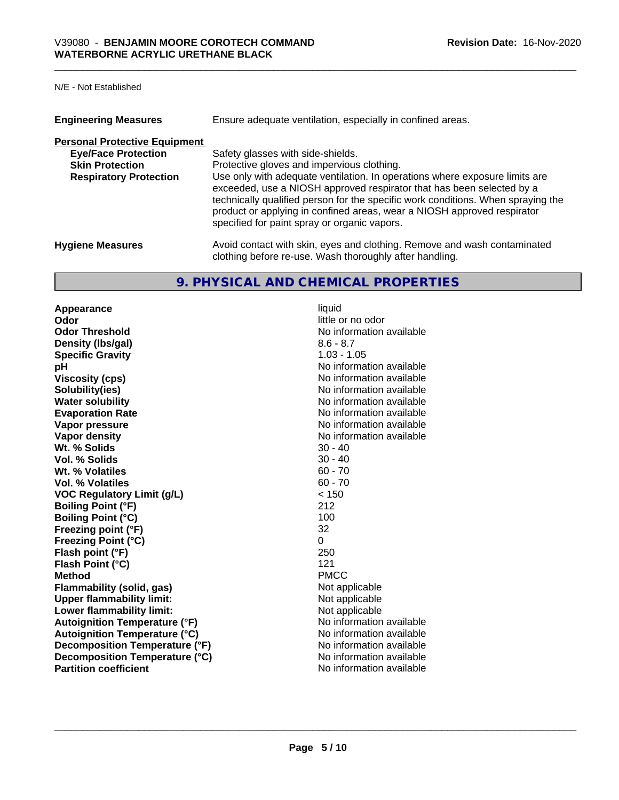| <b>Engineering Measures</b>                                                                                                   | Ensure adequate ventilation, especially in confined areas.                                                                                                                                                                                                                                                                                                                                                                                             |
|-------------------------------------------------------------------------------------------------------------------------------|--------------------------------------------------------------------------------------------------------------------------------------------------------------------------------------------------------------------------------------------------------------------------------------------------------------------------------------------------------------------------------------------------------------------------------------------------------|
| <b>Personal Protective Equipment</b><br><b>Eye/Face Protection</b><br><b>Skin Protection</b><br><b>Respiratory Protection</b> | Safety glasses with side-shields.<br>Protective gloves and impervious clothing.<br>Use only with adequate ventilation. In operations where exposure limits are<br>exceeded, use a NIOSH approved respirator that has been selected by a<br>technically qualified person for the specific work conditions. When spraying the<br>product or applying in confined areas, wear a NIOSH approved respirator<br>specified for paint spray or organic vapors. |
| <b>Hygiene Measures</b>                                                                                                       | Avoid contact with skin, eyes and clothing. Remove and wash contaminated<br>clothing before re-use. Wash thoroughly after handling.                                                                                                                                                                                                                                                                                                                    |

# **9. PHYSICAL AND CHEMICAL PROPERTIES**

**Appearance** liquid **Odor** little or no odor **Odor Threshold** No information available **Density (lbs/gal)** 8.6 - 8.7 **Specific Gravity** 1.03 - 1.05 **pH** No information available **Viscosity (cps)** No information available **Solubility(ies)** No information available in the solution of the solution of the solution available in the solution of the solution of the solution of the solution of the solution of the solution of the solution of the so **Water solubility Water solubility Water solubility Water solubility Water solubility Water solution Evaporation Rate No information available No information available Vapor pressure** No information available **Vapor density Vapor density No information available Wt.** % Solids 30 - 40 **Vol. % Solids** 30 - 40 **Wt. % Volatiles** 60 - 70 **Vol. % Volatiles** 60 - 70<br> **VOC Requiatory Limit (q/L)** 60 - 70 **VOC Regulatory Limit (g/L)**  $\le$  15<br>Boiling Point (°F) 212 **Boiling Point (°F) Boiling Point (°C)** 100 **Freezing point (°F)** 32 **Freezing Point (°C)** 0 **Flash point (°F)** 250 **Flash Point (°C)** 121 **Method** PMCC **Flammability (solid, gas)** Not applicable **Upper flammability limit:** Not applicable **Lower flammability limit:**<br> **Autoignition Temperature (°F)** Not applicable available and the Mustafable and Mustafable and Mustafable and Mu **Autoignition Temperature (°F)**<br> **Autoignition Temperature (°C)** No information available **Autoignition Temperature (°C) Decomposition Temperature (°F)** No information available **Decomposition Temperature (°C)** No information available<br> **Partition coefficient Partition available** 

**No information available**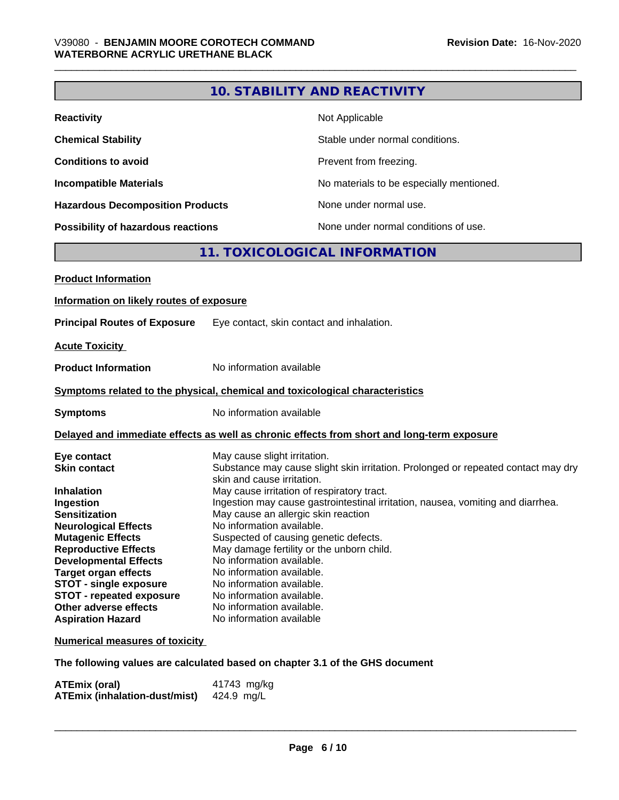# **10. STABILITY AND REACTIVITY**

| <b>Reactivity</b>                       | Not Applicable                           |
|-----------------------------------------|------------------------------------------|
| <b>Chemical Stability</b>               | Stable under normal conditions.          |
| <b>Conditions to avoid</b>              | Prevent from freezing.                   |
| <b>Incompatible Materials</b>           | No materials to be especially mentioned. |
| <b>Hazardous Decomposition Products</b> | None under normal use.                   |
| Possibility of hazardous reactions      | None under normal conditions of use.     |

# **11. TOXICOLOGICAL INFORMATION**

| <b>Product Information</b>                                                                 |                                                                                                                 |  |
|--------------------------------------------------------------------------------------------|-----------------------------------------------------------------------------------------------------------------|--|
| Information on likely routes of exposure                                                   |                                                                                                                 |  |
| <b>Principal Routes of Exposure</b>                                                        | Eye contact, skin contact and inhalation.                                                                       |  |
| <b>Acute Toxicity</b>                                                                      |                                                                                                                 |  |
| <b>Product Information</b>                                                                 | No information available                                                                                        |  |
| Symptoms related to the physical, chemical and toxicological characteristics               |                                                                                                                 |  |
| <b>Symptoms</b>                                                                            | No information available                                                                                        |  |
| Delayed and immediate effects as well as chronic effects from short and long-term exposure |                                                                                                                 |  |
| Eye contact                                                                                | May cause slight irritation.                                                                                    |  |
| <b>Skin contact</b>                                                                        | Substance may cause slight skin irritation. Prolonged or repeated contact may dry<br>skin and cause irritation. |  |
| <b>Inhalation</b>                                                                          | May cause irritation of respiratory tract.                                                                      |  |
| Ingestion                                                                                  | Ingestion may cause gastrointestinal irritation, nausea, vomiting and diarrhea.                                 |  |
| <b>Sensitization</b>                                                                       | May cause an allergic skin reaction                                                                             |  |
| <b>Neurological Effects</b>                                                                | No information available.                                                                                       |  |
| <b>Mutagenic Effects</b>                                                                   | Suspected of causing genetic defects.                                                                           |  |
| <b>Reproductive Effects</b>                                                                | May damage fertility or the unborn child.                                                                       |  |
| <b>Developmental Effects</b>                                                               | No information available.                                                                                       |  |
| <b>Target organ effects</b>                                                                | No information available.                                                                                       |  |
| <b>STOT - single exposure</b>                                                              | No information available.                                                                                       |  |
| <b>STOT - repeated exposure</b>                                                            | No information available.                                                                                       |  |
| Other adverse effects                                                                      | No information available.                                                                                       |  |
| <b>Aspiration Hazard</b>                                                                   | No information available                                                                                        |  |
| <b>Numerical measures of toxicity</b>                                                      |                                                                                                                 |  |
|                                                                                            | The following values are calculated based on chapter 3.1 of the GHS document                                    |  |

| <b>ATEmix (oral)</b>                 | 41743 mg/kg |
|--------------------------------------|-------------|
| <b>ATEmix (inhalation-dust/mist)</b> | 424.9 mg/L  |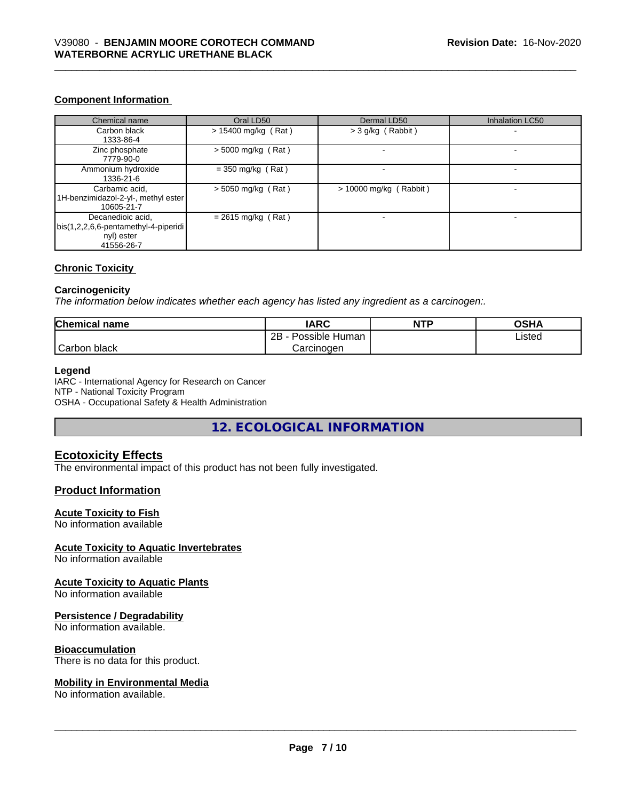# **Component Information**

| Chemical name                                                                         | Oral LD50             | Dermal LD50              | Inhalation LC50 |
|---------------------------------------------------------------------------------------|-----------------------|--------------------------|-----------------|
| Carbon black<br>1333-86-4                                                             | $> 15400$ mg/kg (Rat) | $>$ 3 g/kg (Rabbit)      |                 |
| Zinc phosphate<br>7779-90-0                                                           | $>$ 5000 mg/kg (Rat)  |                          |                 |
| Ammonium hydroxide<br>1336-21-6                                                       | $=$ 350 mg/kg (Rat)   |                          |                 |
| Carbamic acid,<br>1H-benzimidazol-2-yl-, methyl ester<br>10605-21-7                   | $> 5050$ mg/kg (Rat)  | $> 10000$ mg/kg (Rabbit) |                 |
| Decanedioic acid,<br>bis(1,2,2,6,6-pentamethyl-4-piperidi<br>nyl) ester<br>41556-26-7 | $= 2615$ mg/kg (Rat)  |                          |                 |

# **Chronic Toxicity**

## **Carcinogenicity**

*The information below indicateswhether each agency has listed any ingredient as a carcinogen:.*

| <b>Chemical name</b> | <b>IARC</b>               | <b>NTP</b> | OSHA   |  |
|----------------------|---------------------------|------------|--------|--|
|                      | Possible<br>2B<br>⊧ Human |            | Listed |  |
| Carbon<br>black      | Carcinogen                |            |        |  |

## **Legend**

IARC - International Agency for Research on Cancer NTP - National Toxicity Program OSHA - Occupational Safety & Health Administration

**12. ECOLOGICAL INFORMATION**

# **Ecotoxicity Effects**

The environmental impact of this product has not been fully investigated.

## **Product Information**

## **Acute Toxicity to Fish**

No information available

## **Acute Toxicity to Aquatic Invertebrates**

No information available

# **Acute Toxicity to Aquatic Plants**

No information available

## **Persistence / Degradability**

No information available.

## **Bioaccumulation**

There is no data for this product.

## **Mobility in Environmental Media**

No information available.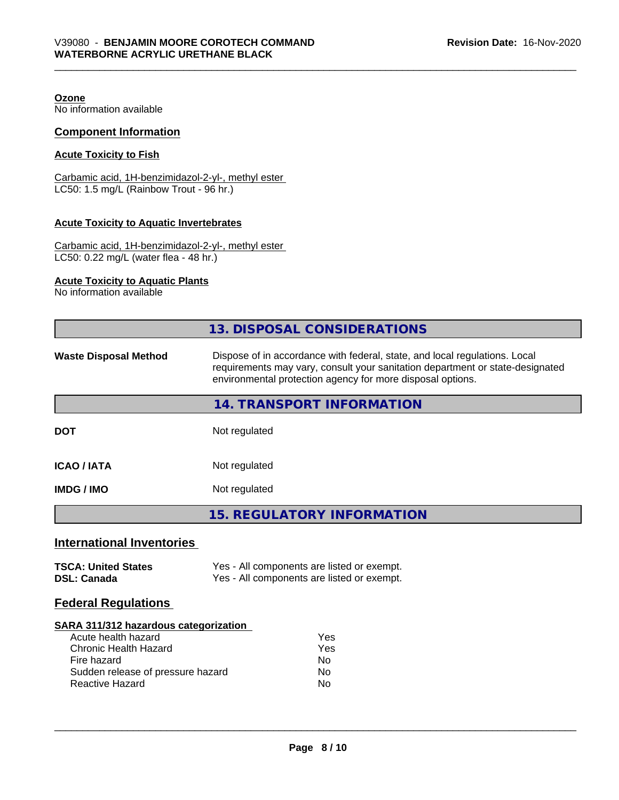**Ozone**

No information available

## **Component Information**

## **Acute Toxicity to Fish**

Carbamic acid, 1H-benzimidazol-2-yl-, methyl ester LC50: 1.5 mg/L (Rainbow Trout - 96 hr.)

# **Acute Toxicity to Aquatic Invertebrates**

Carbamic acid, 1H-benzimidazol-2-yl-, methyl ester LC50: 0.22 mg/L (water flea - 48 hr.)

# **Acute Toxicity to Aquatic Plants**

No information available

|                                                                                                                                                                            | 13. DISPOSAL CONSIDERATIONS                                                                                                                                                                                               |  |  |
|----------------------------------------------------------------------------------------------------------------------------------------------------------------------------|---------------------------------------------------------------------------------------------------------------------------------------------------------------------------------------------------------------------------|--|--|
| <b>Waste Disposal Method</b>                                                                                                                                               | Dispose of in accordance with federal, state, and local regulations. Local<br>requirements may vary, consult your sanitation department or state-designated<br>environmental protection agency for more disposal options. |  |  |
|                                                                                                                                                                            | 14. TRANSPORT INFORMATION                                                                                                                                                                                                 |  |  |
| <b>DOT</b>                                                                                                                                                                 | Not regulated                                                                                                                                                                                                             |  |  |
| <b>ICAO/IATA</b>                                                                                                                                                           | Not regulated                                                                                                                                                                                                             |  |  |
| <b>IMDG / IMO</b>                                                                                                                                                          | Not regulated                                                                                                                                                                                                             |  |  |
|                                                                                                                                                                            | <b>15. REGULATORY INFORMATION</b>                                                                                                                                                                                         |  |  |
| <b>International Inventories</b>                                                                                                                                           |                                                                                                                                                                                                                           |  |  |
| <b>TSCA: United States</b><br><b>DSL: Canada</b>                                                                                                                           | Yes - All components are listed or exempt.<br>Yes - All components are listed or exempt.                                                                                                                                  |  |  |
| <b>Federal Regulations</b>                                                                                                                                                 |                                                                                                                                                                                                                           |  |  |
| SARA 311/312 hazardous categorization<br>Acute health hazard<br><b>Chronic Health Hazard</b><br>Fire hazard<br>Sudden release of pressure hazard<br><b>Reactive Hazard</b> | Yes<br>Yes<br><b>No</b><br>No.<br>No                                                                                                                                                                                      |  |  |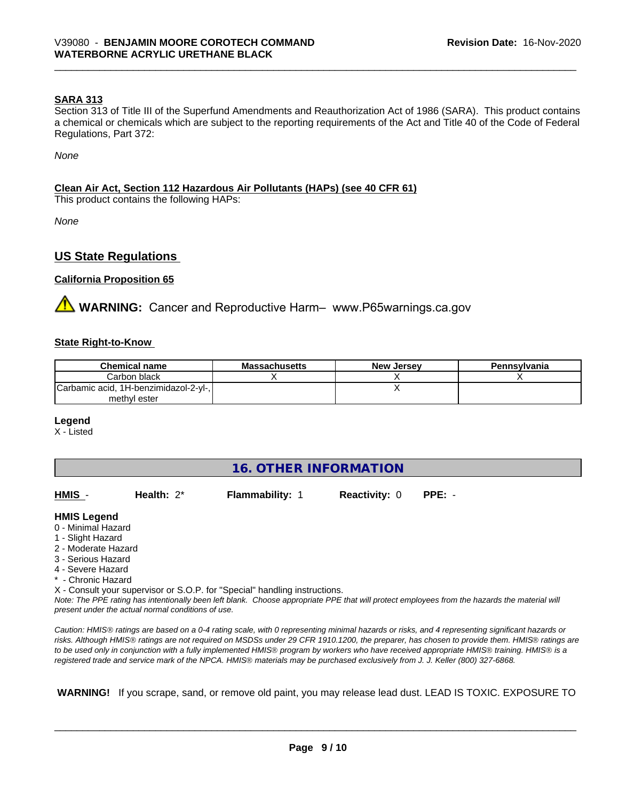## **SARA 313**

Section 313 of Title III of the Superfund Amendments and Reauthorization Act of 1986 (SARA). This product contains a chemical or chemicals which are subject to the reporting requirements of the Act and Title 40 of the Code of Federal Regulations, Part 372:

*None*

## **Clean Air Act,Section 112 Hazardous Air Pollutants (HAPs) (see 40 CFR 61)**

This product contains the following HAPs:

*None*

# **US State Regulations**

## **California Proposition 65**

**WARNING:** Cancer and Reproductive Harm- www.P65warnings.ca.gov

## **State Right-to-Know**

| <b>Chemical name</b>                  | <b>Massachusetts</b> | <b>New Jersey</b> | Pennsylvania |
|---------------------------------------|----------------------|-------------------|--------------|
| Carbon black                          |                      |                   |              |
| Carbamic acid, 1H-benzimidazol-2-yl-, |                      |                   |              |
| methyl ester                          |                      |                   |              |

## **Legend**

X - Listed

# **16. OTHER INFORMATION**

| HMIS - | Health: 2* | <b>Flammability: 1</b> | <b>Reactivity: 0 PPE: -</b> |  |
|--------|------------|------------------------|-----------------------------|--|
|        |            |                        |                             |  |

## **HMIS Legend**

- 0 Minimal Hazard
- 1 Slight Hazard
- 2 Moderate Hazard
- 3 Serious Hazard
- 4 Severe Hazard
- \* Chronic Hazard
- X Consult your supervisor or S.O.P. for "Special" handling instructions.

*Note: The PPE rating has intentionally been left blank. Choose appropriate PPE that will protect employees from the hazards the material will present under the actual normal conditions of use.*

*Caution: HMISÒ ratings are based on a 0-4 rating scale, with 0 representing minimal hazards or risks, and 4 representing significant hazards or risks. Although HMISÒ ratings are not required on MSDSs under 29 CFR 1910.1200, the preparer, has chosen to provide them. HMISÒ ratings are to be used only in conjunction with a fully implemented HMISÒ program by workers who have received appropriate HMISÒ training. HMISÒ is a registered trade and service mark of the NPCA. HMISÒ materials may be purchased exclusively from J. J. Keller (800) 327-6868.*

 **WARNING!** If you scrape, sand, or remove old paint, you may release lead dust. LEAD IS TOXIC. EXPOSURE TO